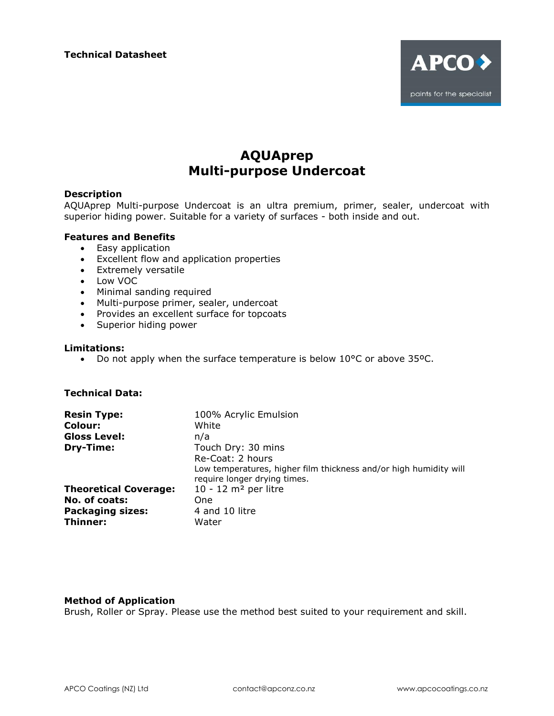

# **AQUAprep Multi-purpose Undercoat**

# **Description**

AQUAprep Multi-purpose Undercoat is an ultra premium, primer, sealer, undercoat with superior hiding power. Suitable for a variety of surfaces - both inside and out.

## **Features and Benefits**

- Easy application
- Excellent flow and application properties
- Extremely versatile
- Low VOC
- Minimal sanding required
- Multi-purpose primer, sealer, undercoat
- Provides an excellent surface for topcoats
- Superior hiding power

## **Limitations:**

Do not apply when the surface temperature is below 10°C or above 35ºC.

# **Technical Data:**

| <b>Resin Type:</b>           | 100% Acrylic Emulsion                                                                             |
|------------------------------|---------------------------------------------------------------------------------------------------|
| Colour:                      | White                                                                                             |
| <b>Gloss Level:</b>          | n/a                                                                                               |
| Dry-Time:                    | Touch Dry: 30 mins                                                                                |
|                              | Re-Coat: 2 hours                                                                                  |
|                              | Low temperatures, higher film thickness and/or high humidity will<br>require longer drying times. |
| <b>Theoretical Coverage:</b> | $10 - 12$ m <sup>2</sup> per litre                                                                |
| No. of coats:                | One                                                                                               |
| <b>Packaging sizes:</b>      | 4 and 10 litre                                                                                    |
| Thinner:                     | Water                                                                                             |

## **Method of Application**

Brush, Roller or Spray. Please use the method best suited to your requirement and skill.